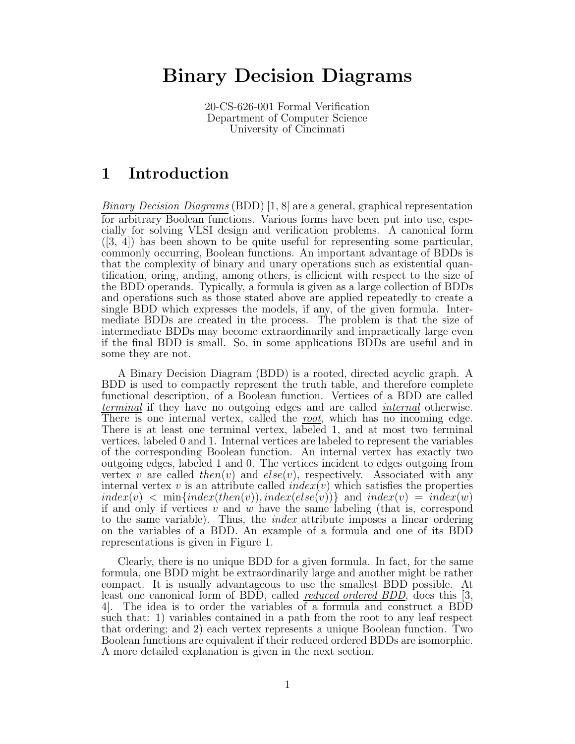# Binary Decision Diagrams

20-CS-626-001 Formal Verification Department of Computer Science University of Cincinnati

## 1 Introduction

*Binary Decision Diagrams* (BDD) [1, 8] are a general, graphical representation for arbitrary Boolean functions. Various forms have been put into use, especially for solving VLSI design and verification problems. A canonical form ([3, 4]) has been shown to be quite useful for representing some particular, commonly occurring, Boolean functions. An important advantage of BDDs is that the complexity of binary and unary operations such as existential quantification, oring, anding, among others, is efficient with respect to the size of the BDD operands. Typically, a formula is given as a large collection of BDDs and operations such as those stated above are applied repeatedly to create a single BDD which expresses the models, if any, of the given formula. Intermediate BDDs are created in the process. The problem is that the size of intermediate BDDs may become extraordinarily and impractically large even if the final BDD is small. So, in some applications BDDs are useful and in some they are not.

A Binary Decision Diagram (BDD) is a rooted, directed acyclic graph. A BDD is used to compactly represent the truth table, and therefore complete functional description, of a Boolean function. Vertices of a BDD are called *terminal* if they have no outgoing edges and are called *internal* otherwise. There is one internal vertex, called the *root*, which has no incoming edge. There is at least one terminal vertex, labeled 1, and at most two terminal vertices, labeled 0 and 1. Internal vertices are labeled to represent the variables of the corresponding Boolean function. An internal vertex has exactly two outgoing edges, labeled 1 and 0. The vertices incident to edges outgoing from vertex v are called then(v) and  $else(v)$ , respectively. Associated with any internal vertex v is an attribute called  $index(v)$  which satisfies the properties  $index(v) < min{index(then(v)), index(else(v))}$  and  $index(v) = index(w)$ if and only if vertices  $v$  and  $w$  have the same labeling (that is, correspond to the same variable). Thus, the *index* attribute imposes a linear ordering on the variables of a BDD. An example of a formula and one of its BDD representations is given in Figure 1.

Clearly, there is no unique BDD for a given formula. In fact, for the same formula, one BDD might be extraordinarily large and another might be rather compact. It is usually advantageous to use the smallest BDD possible. At least one canonical form of BDD, called *reduced ordered BDD*, does this [3, 4]. The idea is to order the variables of a formula and construct a BDD such that: 1) variables contained in a path from the root to any leaf respect that ordering; and 2) each vertex represents a unique Boolean function. Two Boolean functions are equivalent if their reduced ordered BDDs are isomorphic. A more detailed explanation is given in the next section.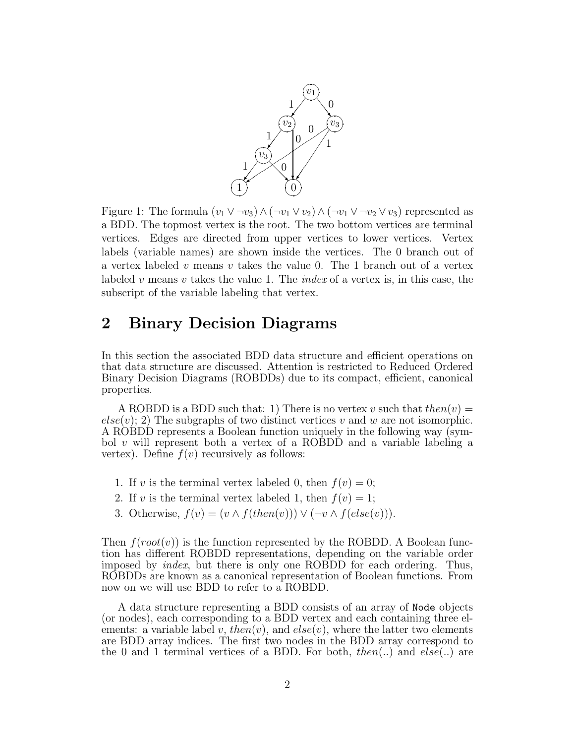

Figure 1: The formula  $(v_1 \vee \neg v_3) \wedge (\neg v_1 \vee v_2) \wedge (\neg v_1 \vee \neg v_2 \vee v_3)$  represented as a BDD. The topmost vertex is the root. The two bottom vertices are terminal vertices. Edges are directed from upper vertices to lower vertices. Vertex labels (variable names) are shown inside the vertices. The 0 branch out of a vertex labeled v means v takes the value 0. The 1 branch out of a vertex labeled v means v takes the value 1. The *index* of a vertex is, in this case, the subscript of the variable labeling that vertex.

## 2 Binary Decision Diagrams

In this section the associated BDD data structure and efficient operations on that data structure are discussed. Attention is restricted to Reduced Ordered Binary Decision Diagrams (ROBDDs) due to its compact, efficient, canonical properties.

A ROBDD is a BDD such that: 1) There is no vertex v such that  $then(v)$  =  $else(v); 2)$  The subgraphs of two distinct vertices v and w are not isomorphic. A ROBDD represents a Boolean function uniquely in the following way (symbol v will represent both a vertex of a ROBDD and a variable labeling a vertex). Define  $f(v)$  recursively as follows:

- 1. If v is the terminal vertex labeled 0, then  $f(v) = 0$ ;
- 2. If v is the terminal vertex labeled 1, then  $f(v) = 1$ ;
- 3. Otherwise,  $f(v) = (v \wedge f(then(v))) \vee (\neg v \wedge f(else(v))).$

Then  $f(root(v))$  is the function represented by the ROBDD. A Boolean function has different ROBDD representations, depending on the variable order imposed by *index*, but there is only one ROBDD for each ordering. Thus, ROBDDs are known as a canonical representation of Boolean functions. From now on we will use BDD to refer to a ROBDD.

A data structure representing a BDD consists of an array of Node objects (or nodes), each corresponding to a BDD vertex and each containing three elements: a variable label v, then(v), and  $else(v)$ , where the latter two elements are BDD array indices. The first two nodes in the BDD array correspond to the 0 and 1 terminal vertices of a BDD. For both,  $then(...)$  and  $else(...)$  are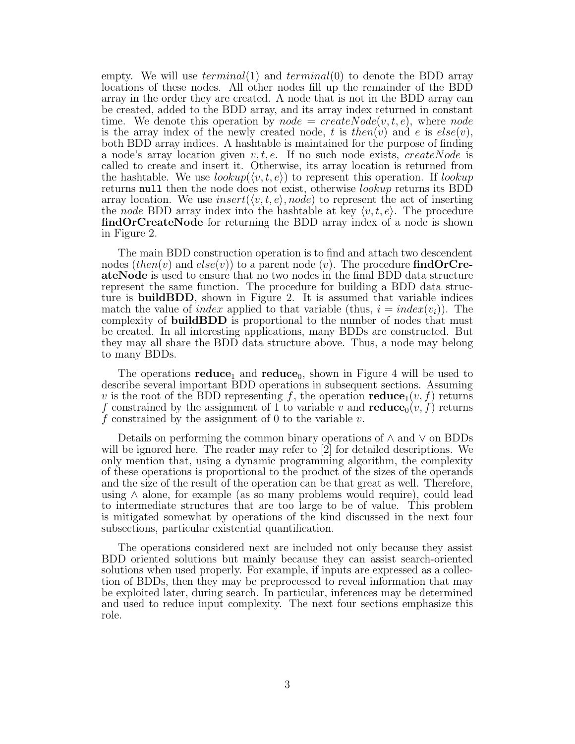empty. We will use  $terminal(1)$  and  $terminal(0)$  to denote the BDD array locations of these nodes. All other nodes fill up the remainder of the BDD array in the order they are created. A node that is not in the BDD array can be created, added to the BDD array, and its array index returned in constant time. We denote this operation by  $node = createNode(v, t, e)$ , where node is the array index of the newly created node, t is then(v) and e is  $else(v)$ , both BDD array indices. A hashtable is maintained for the purpose of finding a node's array location given  $v, t, e$ . If no such node exists, createNode is called to create and insert it. Otherwise, its array location is returned from the hashtable. We use  $\text{lookup}(\langle v, t, e \rangle)$  to represent this operation. If  $\text{lookup}$ returns null then the node does not exist, otherwise lookup returns its BDD array location. We use insert( $\langle v, t, e \rangle$ , node) to represent the act of inserting the node BDD array index into the hashtable at key  $\langle v, t, e \rangle$ . The procedure findOrCreateNode for returning the BDD array index of a node is shown in Figure 2.

The main BDD construction operation is to find and attach two descendent nodes (then(v) and  $else(v)$ ) to a parent node (v). The procedure findOrCreateNode is used to ensure that no two nodes in the final BDD data structure represent the same function. The procedure for building a BDD data structure is buildBDD, shown in Figure 2. It is assumed that variable indices match the value of index applied to that variable (thus,  $i = index(v_i)$ ). The complexity of buildBDD is proportional to the number of nodes that must be created. In all interesting applications, many BDDs are constructed. But they may all share the BDD data structure above. Thus, a node may belong to many BDDs.

The operations reduce<sub>1</sub> and reduce<sub>0</sub>, shown in Figure 4 will be used to describe several important BDD operations in subsequent sections. Assuming v is the root of the BDD representing f, the operation reduce<sub>1</sub> $(v, f)$  returns f constrained by the assignment of 1 to variable v and  $reduce_0(v, f)$  returns f constrained by the assignment of 0 to the variable  $v$ .

Details on performing the common binary operations of ∧ and ∨ on BDDs will be ignored here. The reader may refer to [2] for detailed descriptions. We only mention that, using a dynamic programming algorithm, the complexity of these operations is proportional to the product of the sizes of the operands and the size of the result of the operation can be that great as well. Therefore, using ∧ alone, for example (as so many problems would require), could lead to intermediate structures that are too large to be of value. This problem is mitigated somewhat by operations of the kind discussed in the next four subsections, particular existential quantification.

The operations considered next are included not only because they assist BDD oriented solutions but mainly because they can assist search-oriented solutions when used properly. For example, if inputs are expressed as a collection of BDDs, then they may be preprocessed to reveal information that may be exploited later, during search. In particular, inferences may be determined and used to reduce input complexity. The next four sections emphasize this role.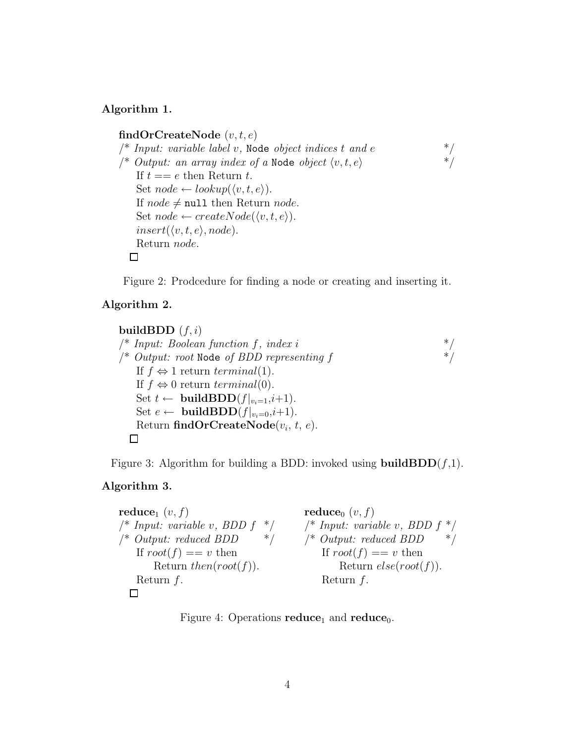## Algorithm 1.

findOrCreateNode  $(v, t, e)$ /\* *Input: variable label v*, Node *object indices* t and e \*/<br>/\* *Output: an array index of a* Node *object*  $\langle v, t, e \rangle$  \*/ /\* *Output: an array index of a* Node *object*  $\langle v, t, e \rangle$ If  $t == e$  then Return  $t$ . Set  $node \leftarrow lookup(\langle v, t, e \rangle).$ If  $node \neq null$  then Return node. Set  $node \leftarrow createNode(\langle v, t, e \rangle).$  $insert(\langle v, t, e \rangle, node).$ Return node.  $\Box$ 

Figure 2: Prodcedure for finding a node or creating and inserting it.

### Algorithm 2.

```
buildBDD (f, i)/* Input: Boolean function f, index i */
/* Output: root Node of BDD representing f */
    If f \Leftrightarrow 1 return terminal(1).
    If f \Leftrightarrow 0 return terminal(0).
    Set t \leftarrow \text{buildBDD}(f|_{v_i=1}, i+1).
    Set e \leftarrow \text{buildBDD}(f|_{v_i=0}, i+1).
    Return \textbf{findOrCreateNode}(v_i, t, e).
  \Box
```
Figure 3: Algorithm for building a BDD: invoked using **buildBDD** $(f,1)$ .

## Algorithm 3.

| $\textbf{reduce}_1\ (v,f)$             | reduce <sub>0</sub> $(v, f)$               |
|----------------------------------------|--------------------------------------------|
| $/*$ Input: variable v, BDD f<br>$*$ / | $\frac{1}{2}$ Input: variable v, BDD $f^*$ |
| * /<br>$/*$ Output: reduced BDD        | $/*$ Output: reduced BDD<br>$*$ /          |
| If $root(f) == v$ then                 | If $root(f) == v$ then                     |
| Return then $(root(f))$ .              | Return $else(root(f))$ .                   |
| Return $f$ .                           | Return $f$ .                               |
|                                        |                                            |

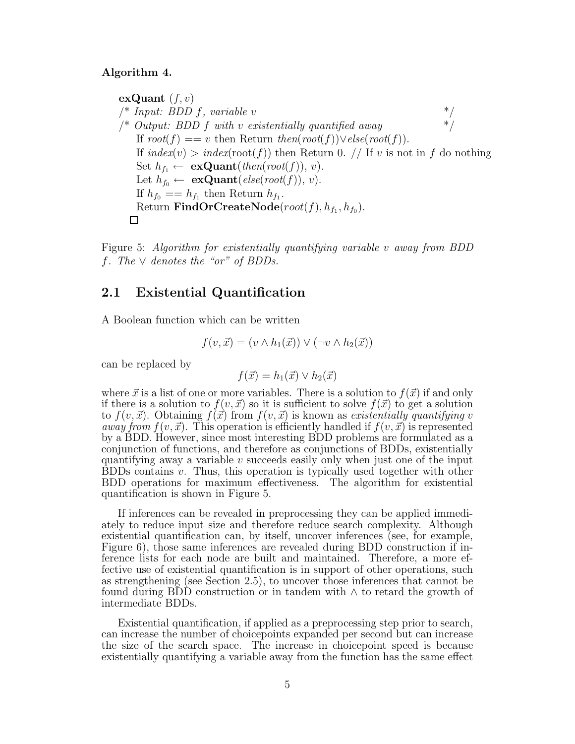#### Algorithm 4.

exQuant  $(f, v)$  $\frac{1}{2}$  *Input: BDD f, variable v* \*/ /\* *Output: BDD* f *with* v *existentially quantified away* \*/ If  $root(f) == v$  then Return  $then(root(f)) \vee else(root(f)).$ If  $index(v) > index(root(f))$  then Return 0. // If v is not in f do nothing Set  $h_{f_1} \leftarrow \textbf{exQuant}(then(root(f)), v).$ Let  $h_{f_0} \leftarrow \textbf{exQuant}(else(root(f)), v).$ If  $h_{f_0} = h_{f_1}$  then Return  $h_{f_1}$ . Return  $FindOrCreateNode(root(f), h_{f_1}, h_{f_0}).$  $\Box$ 

Figure 5: *Algorithm for existentially quantifying variable* v *away from BDD* f*. The* ∨ *denotes the "or" of BDDs.*

## 2.1 Existential Quantification

A Boolean function which can be written

$$
f(v, \vec{x}) = (v \wedge h_1(\vec{x})) \vee (\neg v \wedge h_2(\vec{x}))
$$

can be replaced by

$$
f(\vec{x}) = h_1(\vec{x}) \lor h_2(\vec{x})
$$

where  $\vec{x}$  is a list of one or more variables. There is a solution to  $f(\vec{x})$  if and only if there is a solution to  $f(v, \vec{x})$  so it is sufficient to solve  $f(\vec{x})$  to get a solution to  $f(v, \vec{x})$ . Obtaining  $f(\vec{x})$  from  $f(v, \vec{x})$  is known as *existentially quantifying* v *away from*  $f(v, \vec{x})$ . This operation is efficiently handled if  $f(v, \vec{x})$  is represented by a BDD. However, since most interesting BDD problems are formulated as a conjunction of functions, and therefore as conjunctions of BDDs, existentially quantifying away a variable  $v$  succeeds easily only when just one of the input  $BDDs$  contains  $v$ . Thus, this operation is typically used together with other BDD operations for maximum effectiveness. The algorithm for existential quantification is shown in Figure 5.

If inferences can be revealed in preprocessing they can be applied immediately to reduce input size and therefore reduce search complexity. Although existential quantification can, by itself, uncover inferences (see, for example, Figure 6), those same inferences are revealed during BDD construction if inference lists for each node are built and maintained. Therefore, a more effective use of existential quantification is in support of other operations, such as strengthening (see Section 2.5), to uncover those inferences that cannot be found during BDD construction or in tandem with ∧ to retard the growth of intermediate BDDs.

Existential quantification, if applied as a preprocessing step prior to search, can increase the number of choicepoints expanded per second but can increase the size of the search space. The increase in choicepoint speed is because existentially quantifying a variable away from the function has the same effect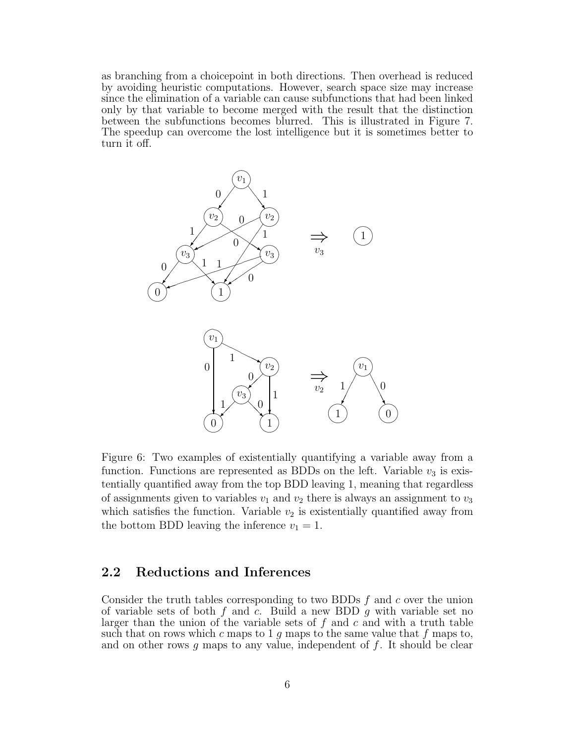as branching from a choicepoint in both directions. Then overhead is reduced by avoiding heuristic computations. However, search space size may increase since the elimination of a variable can cause subfunctions that had been linked only by that variable to become merged with the result that the distinction between the subfunctions becomes blurred. This is illustrated in Figure 7. The speedup can overcome the lost intelligence but it is sometimes better to turn it off.



Figure 6: Two examples of existentially quantifying a variable away from a function. Functions are represented as BDDs on the left. Variable  $v_3$  is existentially quantified away from the top BDD leaving 1, meaning that regardless of assignments given to variables  $v_1$  and  $v_2$  there is always an assignment to  $v_3$ which satisfies the function. Variable  $v_2$  is existentially quantified away from the bottom BDD leaving the inference  $v_1 = 1$ .

## 2.2 Reductions and Inferences

Consider the truth tables corresponding to two BDDs  $f$  and  $c$  over the union of variable sets of both f and c. Build a new BDD q with variable set no larger than the union of the variable sets of  $f$  and  $c$  and with a truth table such that on rows which c maps to 1 q maps to the same value that f maps to, and on other rows g maps to any value, independent of  $f$ . It should be clear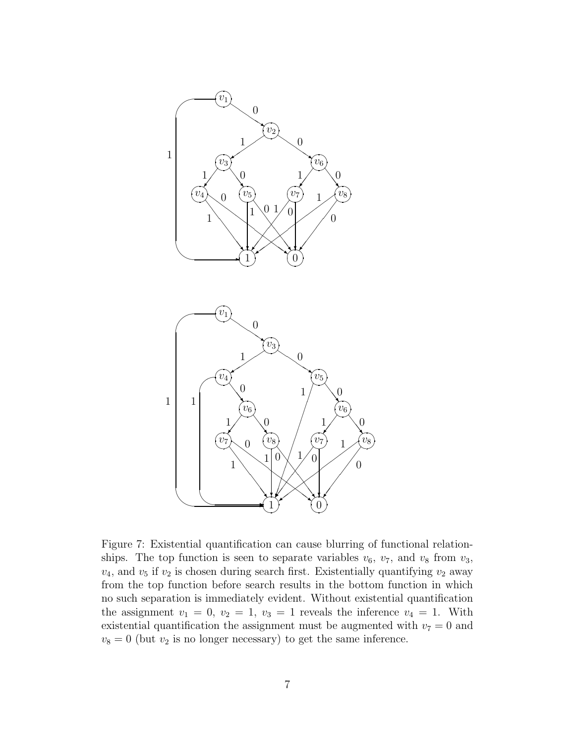

Figure 7: Existential quantification can cause blurring of functional relationships. The top function is seen to separate variables  $v_6$ ,  $v_7$ , and  $v_8$  from  $v_3$ ,  $v_4$ , and  $v_5$  if  $v_2$  is chosen during search first. Existentially quantifying  $v_2$  away from the top function before search results in the bottom function in which no such separation is immediately evident. Without existential quantification the assignment  $v_1 = 0$ ,  $v_2 = 1$ ,  $v_3 = 1$  reveals the inference  $v_4 = 1$ . With existential quantification the assignment must be augmented with  $v_7 = 0$  and  $v_8 = 0$  (but  $v_2$  is no longer necessary) to get the same inference.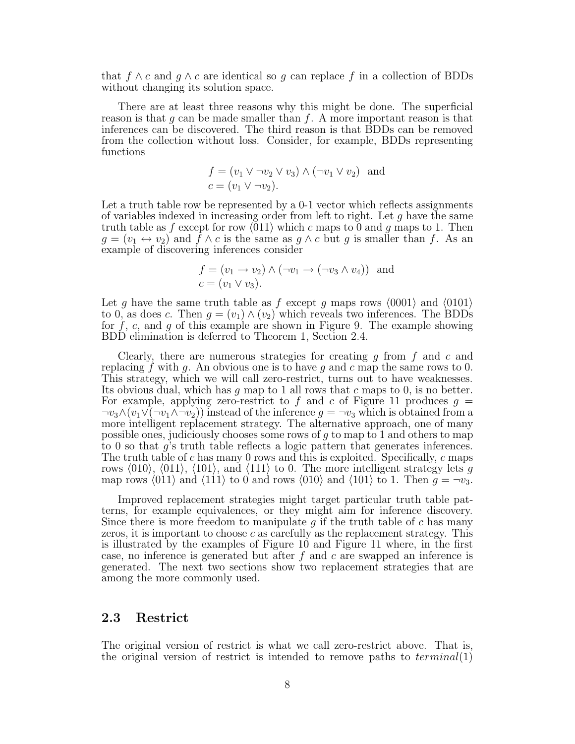that  $f \wedge c$  and  $g \wedge c$  are identical so g can replace f in a collection of BDDs without changing its solution space.

There are at least three reasons why this might be done. The superficial reason is that  $g$  can be made smaller than  $f$ . A more important reason is that inferences can be discovered. The third reason is that BDDs can be removed from the collection without loss. Consider, for example, BDDs representing functions

$$
f = (v_1 \lor \neg v_2 \lor v_3) \land (\neg v_1 \lor v_2)
$$
 and  

$$
c = (v_1 \lor \neg v_2).
$$

Let a truth table row be represented by a 0-1 vector which reflects assignments of variables indexed in increasing order from left to right. Let  $g$  have the same truth table as f except for row  $\langle 011 \rangle$  which c maps to 0 and g maps to 1. Then  $g = (v_1 \leftrightarrow v_2)$  and  $f \wedge c$  is the same as  $g \wedge c$  but g is smaller than f. As an example of discovering inferences consider

$$
f = (v_1 \rightarrow v_2) \land (\neg v_1 \rightarrow (\neg v_3 \land v_4))
$$
 and  

$$
c = (v_1 \lor v_3).
$$

Let g have the same truth table as f except g maps rows  $\langle 0001 \rangle$  and  $\langle 0101 \rangle$ to 0, as does c. Then  $g = (v_1) \wedge (v_2)$  which reveals two inferences. The BDDs for  $f, c$ , and  $g$  of this example are shown in Figure 9. The example showing BDD elimination is deferred to Theorem 1, Section 2.4.

Clearly, there are numerous strategies for creating  $g$  from  $f$  and  $c$  and replacing f with g. An obvious one is to have g and c map the same rows to 0. This strategy, which we will call zero-restrict, turns out to have weaknesses. Its obvious dual, which has  $g$  map to 1 all rows that  $c$  maps to 0, is no better. For example, applying zero-restrict to f and c of Figure 11 produces  $g =$  $\neg v_3 \wedge (v_1 \vee (\neg v_1 \wedge \neg v_2))$  instead of the inference  $g = \neg v_3$  which is obtained from a more intelligent replacement strategy. The alternative approach, one of many possible ones, judiciously chooses some rows of g to map to 1 and others to map to 0 so that g's truth table reflects a logic pattern that generates inferences. The truth table of c has many 0 rows and this is exploited. Specifically,  $c$  maps rows  $\langle 010 \rangle$ ,  $\langle 011 \rangle$ ,  $\langle 101 \rangle$ , and  $\langle 111 \rangle$  to 0. The more intelligent strategy lets g map rows  $\langle 011 \rangle$  and  $\langle 111 \rangle$  to 0 and rows  $\langle 010 \rangle$  and  $\langle 101 \rangle$  to 1. Then  $g = \neg v_3$ .

Improved replacement strategies might target particular truth table patterns, for example equivalences, or they might aim for inference discovery. Since there is more freedom to manipulate  $q$  if the truth table of  $c$  has many zeros, it is important to choose  $c$  as carefully as the replacement strategy. This is illustrated by the examples of Figure 10 and Figure 11 where, in the first case, no inference is generated but after  $f$  and  $c$  are swapped an inference is generated. The next two sections show two replacement strategies that are among the more commonly used.

#### 2.3 Restrict

The original version of restrict is what we call zero-restrict above. That is, the original version of restrict is intended to remove paths to  $terminal(1)$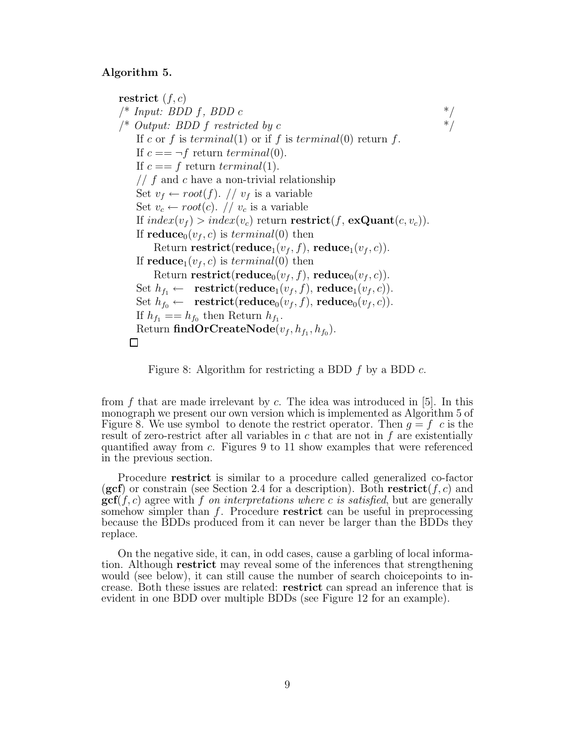#### Algorithm 5.

restrict  $(f, c)$  $\frac{1}{2}$  *Input: BDD f, BDD c* \*/  $\frac{1}{2}$  *(\* Output: BDD f restricted by c* \*/ If c or f is terminal(1) or if f is terminal(0) return f. If  $c == \neg f$  return terminal(0). If  $c == f$  return terminal(1).  $\frac{1}{\sqrt{2}}$  f and c have a non-trivial relationship Set  $v_f \leftarrow root(f)$ . //  $v_f$  is a variable Set  $v_c \leftarrow root(c)$ . //  $v_c$  is a variable If  $index(v_f) > index(v_c)$  return **restrict** $(f, \textbf{exQuant}(c, v_c))$ . If  $reduce_0(v_f, c)$  is  $terminal(0)$  then Return restrict(reduce<sub>1</sub> $(v_f, f)$ , reduce<sub>1</sub> $(v_f, c)$ ). If  $reduce_1(v_f, c)$  is  $terminal(0)$  then Return **restrict**(**reduce**<sub>0</sub> $(v_f, f)$ , **reduce**<sub>0</sub> $(v_f, c)$ ). Set  $h_{f_1} \leftarrow \text{ restrict}(\text{reduce}_1(v_f, f), \text{reduce}_1(v_f, c)).$ Set  $h_{f_0} \leftarrow \text{ restrict}(\text{reduce}_0(v_f, f), \text{reduce}_0(v_f, c)).$ If  $h_{f_1} == h_{f_0}$  then Return  $h_{f_1}$ . Return  $\mathbf{findOrCreateNode}(v_f, h_{f_1}, h_{f_0}).$  $\Box$ 

Figure 8: Algorithm for restricting a BDD  $f$  by a BDD  $c$ .

from  $f$  that are made irrelevant by  $c$ . The idea was introduced in [5]. In this monograph we present our own version which is implemented as Algorithm 5 of Figure 8. We use symbol to denote the restrict operator. Then  $q = f\;c$  is the result of zero-restrict after all variables in  $c$  that are not in  $f$  are existentially quantified away from c. Figures 9 to 11 show examples that were referenced in the previous section.

Procedure restrict is similar to a procedure called generalized co-factor (gcf) or constrain (see Section 2.4 for a description). Both restrict( $f, c$ ) and gcf(f, c) agree with f *on interpretations where* c *is satisfied*, but are generally somehow simpler than  $f$ . Procedure restrict can be useful in preprocessing because the BDDs produced from it can never be larger than the BDDs they replace.

On the negative side, it can, in odd cases, cause a garbling of local information. Although restrict may reveal some of the inferences that strengthening would (see below), it can still cause the number of search choicepoints to increase. Both these issues are related: restrict can spread an inference that is evident in one BDD over multiple BDDs (see Figure 12 for an example).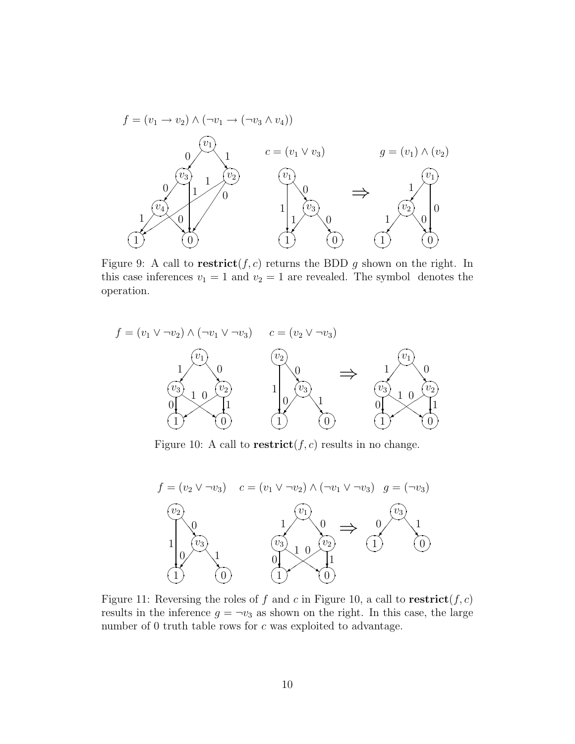

Figure 9: A call to  $\text{restrict}(f, c)$  returns the BDD g shown on the right. In this case inferences  $v_1 = 1$  and  $v_2 = 1$  are revealed. The symbol denotes the operation.



Figure 10: A call to **restrict** $(f, c)$  results in no change.



Figure 11: Reversing the roles of f and c in Figure 10, a call to  $\text{restrict}(f, c)$ results in the inference  $g = \neg v_3$  as shown on the right. In this case, the large number of 0 truth table rows for c was exploited to advantage.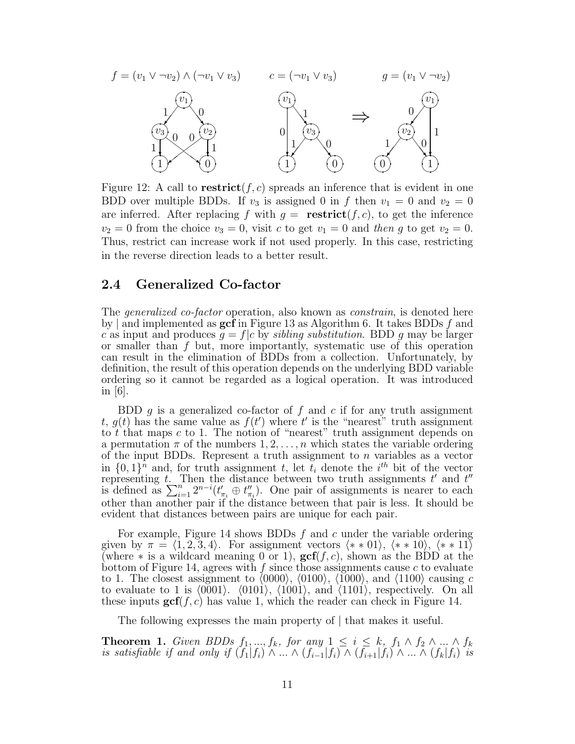

Figure 12: A call to **restrict** $(f, c)$  spreads an inference that is evident in one BDD over multiple BDDs. If  $v_3$  is assigned 0 in f then  $v_1 = 0$  and  $v_2 = 0$ are inferred. After replacing f with  $g = \text{restrict}(f, c)$ , to get the inference  $v_2 = 0$  from the choice  $v_3 = 0$ , visit c to get  $v_1 = 0$  and then g to get  $v_2 = 0$ . Thus, restrict can increase work if not used properly. In this case, restricting in the reverse direction leads to a better result.

## 2.4 Generalized Co-factor

The *generalized co-factor* operation, also known as *constrain*, is denoted here by | and implemented as  $\gcd$  in Figure 13 as Algorithm 6. It takes BDDs f and c as input and produces  $g = f/c$  by *sibling substitution*. BDD g may be larger or smaller than f but, more importantly, systematic use of this operation can result in the elimination of BDDs from a collection. Unfortunately, by definition, the result of this operation depends on the underlying BDD variable ordering so it cannot be regarded as a logical operation. It was introduced in  $|6|$ .

BDD  $g$  is a generalized co-factor of  $f$  and  $c$  if for any truth assignment t,  $g(t)$  has the same value as  $f(t')$  where t' is the "nearest" truth assignment to t that maps  $c$  to 1. The notion of "nearest" truth assignment depends on a permutation  $\pi$  of the numbers  $1, 2, \ldots, n$  which states the variable ordering of the input BDDs. Represent a truth assignment to  $n$  variables as a vector in  $\{0,1\}$ <sup>n</sup> and, for truth assignment t, let  $t_i$  denote the i<sup>th</sup> bit of the vector representing t. Then the distance between two truth assignments  $t'$  and  $t''$ is defined as  $\sum_{i=1}^{n} 2^{n-i}(t'_{\pi_i} \oplus t''_{\pi_i})$  $\binom{n}{\pi_i}$ . One pair of assignments is nearer to each other than another pair if the distance between that pair is less. It should be evident that distances between pairs are unique for each pair.

For example, Figure 14 shows BDDs  $f$  and  $c$  under the variable ordering given by  $\pi = \langle 1, 2, 3, 4 \rangle$ . For assignment vectors  $\langle * \ast 01 \rangle$ ,  $\langle * \ast 10 \rangle$ ,  $\langle * \ast 11 \rangle$ (where \* is a wildcard meaning 0 or 1),  $\operatorname{gcf}(f, c)$ , shown as the BDD at the bottom of Figure 14, agrees with  $f$  since those assignments cause  $c$  to evaluate to 1. The closest assignment to  $(0000)$ ,  $(0100)$ ,  $(1000)$ , and  $(1100)$  causing c to evaluate to 1 is  $(0001)$ .  $(0101)$ ,  $(1001)$ , and  $(1101)$ , respectively. On all these inputs  $\gcd(f, c)$  has value 1, which the reader can check in Figure 14.

The following expresses the main property of | that makes it useful.

**Theorem 1.** *Given BDDs*  $f_1, ..., f_k$ *, for any*  $1 \leq i \leq k$ *,*  $f_1 \wedge f_2 \wedge ... \wedge f_k$ *is satisfiable if and only if*  $(f_1|f_i) \wedge ... \wedge (f_{i-1}|f_i) \wedge (f_{i+1}|f_i) \wedge ... \wedge (f_k|f_i)$  *is*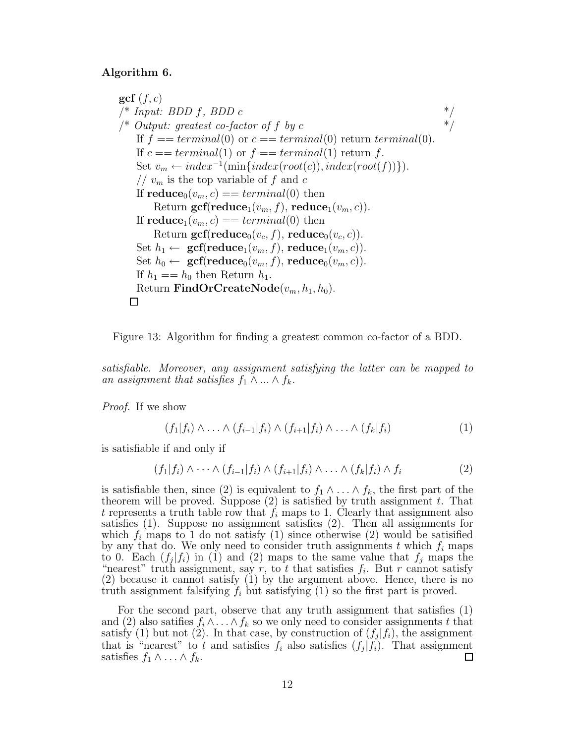#### Algorithm 6.

 $\gcd(f, c)$  $\frac{1}{2}$  *Input: BDD f, BDD c* \*/  $\frac{1}{2}$  /\* *Output: greatest co-factor of f by c* \*/ If  $f = \text{terminal}(0)$  or  $c = \text{terminal}(0)$  return  $\text{terminal}(0)$ . If  $c == terminal(1)$  or  $f == terminal(1)$  return f. Set  $v_m \leftarrow index^{-1}(\min\{index(root(c)), index(root(f))\}).$ //  $v_m$  is the top variable of f and c If  $\text{reduce}_0(v_m, c) == terminal(0)$  then Return  $\text{gcf}(\text{reduce}_1(v_m, f), \text{reduce}_1(v_m, c)).$ If  $\text{reduce}_1(v_m, c) == terminal(0)$  then Return  $\text{gcf}(\text{reduce}_0(v_c, f), \text{reduce}_0(v_c, c)).$ Set  $h_1 \leftarrow \textbf{gcf}(\textbf{reduce}_1(v_m, f), \textbf{reduce}_1(v_m, c)).$ Set  $h_0 \leftarrow \textbf{gcf}(\textbf{reduce}_0(v_m, f), \textbf{reduce}_0(v_m, c)).$ If  $h_1 == h_0$  then Return  $h_1$ . Return FindOrCreateNode $(v_m, h_1, h_0)$ .  $\Box$ 



*satisfiable. Moreover, any assignment satisfying the latter can be mapped to an assignment that satisfies*  $f_1 \wedge ... \wedge f_k$ .

*Proof.* If we show

$$
(f_1|f_i) \wedge \ldots \wedge (f_{i-1}|f_i) \wedge (f_{i+1}|f_i) \wedge \ldots \wedge (f_k|f_i)
$$
 (1)

is satisfiable if and only if

$$
(f_1|f_i) \wedge \cdots \wedge (f_{i-1}|f_i) \wedge (f_{i+1}|f_i) \wedge \cdots \wedge (f_k|f_i) \wedge f_i \qquad (2)
$$

is satisfiable then, since (2) is equivalent to  $f_1 \wedge \ldots \wedge f_k$ , the first part of the theorem will be proved. Suppose  $(2)$  is satisfied by truth assignment t. That t represents a truth table row that  $f_i$  maps to 1. Clearly that assignment also satisfies (1). Suppose no assignment satisfies (2). Then all assignments for which  $f_i$  maps to 1 do not satisfy (1) since otherwise (2) would be satisfied by any that do. We only need to consider truth assignments t which  $f_i$  maps to 0. Each  $(f_j|f_i)$  in (1) and (2) maps to the same value that  $f_j$  maps the "nearest" truth assignment, say r, to t that satisfies  $f_i$ . But r cannot satisfy (2) because it cannot satisfy (1) by the argument above. Hence, there is no truth assignment falsifying  $f_i$  but satisfying (1) so the first part is proved.

For the second part, observe that any truth assignment that satisfies (1) and (2) also satifies  $f_i \wedge \ldots \wedge f_k$  so we only need to consider assignments t that satisfy (1) but not (2). In that case, by construction of  $(f_j|f_i)$ , the assignment that is "nearest" to t and satisfies  $f_i$  also satisfies  $(f_j|f_i)$ . That assignment satisfies  $f_1 \wedge \ldots \wedge f_k$ .  $\Box$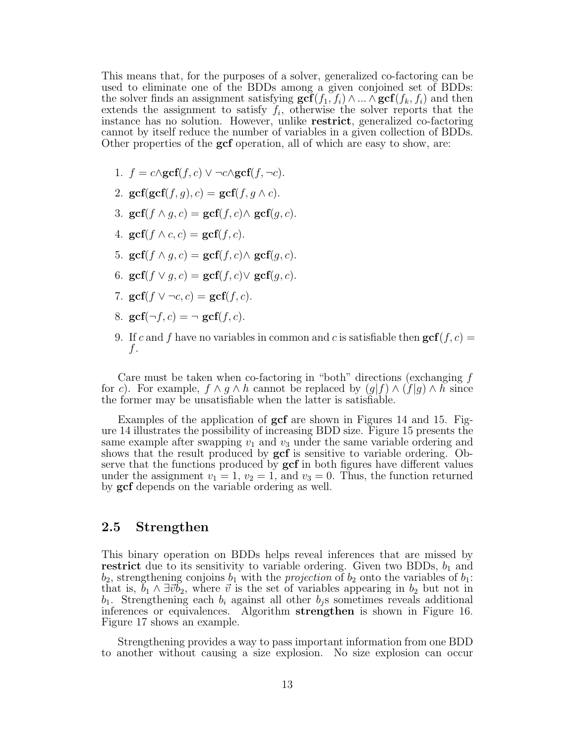This means that, for the purposes of a solver, generalized co-factoring can be used to eliminate one of the BDDs among a given conjoined set of BDDs: the solver finds an assignment satisfying  $\mathbf{gcf}(f_1, f_i) \wedge ... \wedge \mathbf{gcf}(f_k, f_i)$  and then extends the assignment to satisfy  $f_i$ , otherwise the solver reports that the instance has no solution. However, unlike restrict, generalized co-factoring cannot by itself reduce the number of variables in a given collection of BDDs. Other properties of the **gcf** operation, all of which are easy to show, are:

- 1.  $f = c \wedge \text{gcf}(f, c) \vee \neg c \wedge \text{gcf}(f, \neg c)$ .
- 2.  $\gcd(\gcd(f, q), c) = \gcd(f, q \wedge c)$ .
- 3. gcf(f  $\wedge$  q, c) = gcf(f, c) $\wedge$  gcf(q, c).
- 4.  $\operatorname{gcf}(f \wedge c, c) = \operatorname{gcf}(f, c)$ .
- 5. gcf $(f \wedge q, c) = \text{gcf}(f, c) \wedge \text{gcf}(q, c)$ .
- 6. gcf(f  $\lor$  q, c) = gcf(f, c) $\lor$  gcf(q, c).
- 7. gcf(f  $\vee \neg c, c$ ) = gcf(f, c).
- 8.  $\gcd(\neg f, c) = \neg \gcd(f, c)$ .
- 9. If c and f have no variables in common and c is satisfiable then  $\gcd(f, c)$  = f.

Care must be taken when co-factoring in "both" directions (exchanging f for c). For example,  $f \wedge g \wedge h$  cannot be replaced by  $(g|f) \wedge (f|g) \wedge h$  since the former may be unsatisfiable when the latter is satisfiable.

Examples of the application of gcf are shown in Figures 14 and 15. Figure 14 illustrates the possibility of increasing BDD size. Figure 15 presents the same example after swapping  $v_1$  and  $v_3$  under the same variable ordering and shows that the result produced by  $\gcd$  is sensitive to variable ordering. Observe that the functions produced by **gcf** in both figures have different values under the assignment  $v_1 = 1$ ,  $v_2 = 1$ , and  $v_3 = 0$ . Thus, the function returned by gcf depends on the variable ordering as well.

## 2.5 Strengthen

This binary operation on BDDs helps reveal inferences that are missed by **restrict** due to its sensitivity to variable ordering. Given two BDDs,  $b_1$  and  $b_2$ , strengthening conjoins  $b_1$  with the *projection* of  $b_2$  onto the variables of  $b_1$ : that is,  $\tilde{b}_1 \wedge \exists \vec{v} \tilde{b}_2$ , where  $\vec{v}$  is the set of variables appearing in  $b_2$  but not in  $b_1$ . Strengthening each  $b_i$  against all other  $b_j$ s sometimes reveals additional inferences or equivalences. Algorithm strengthen is shown in Figure 16. Figure 17 shows an example.

Strengthening provides a way to pass important information from one BDD to another without causing a size explosion. No size explosion can occur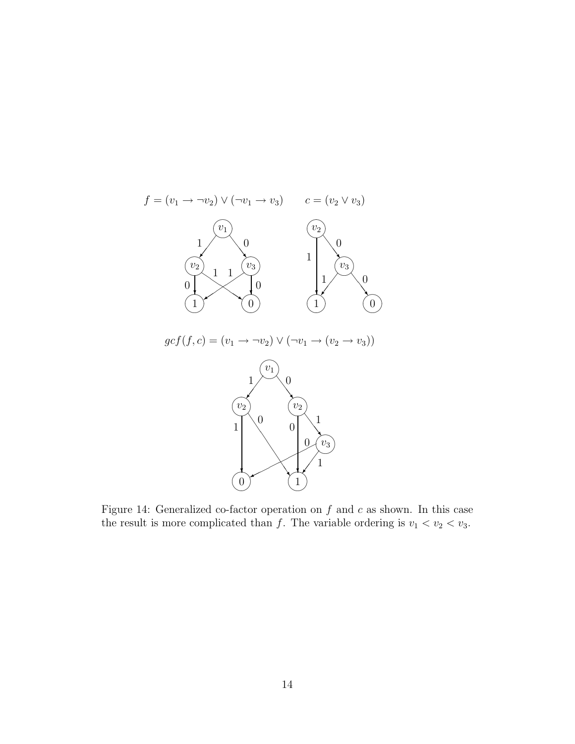

Figure 14: Generalized co-factor operation on  $f$  and  $c$  as shown. In this case the result is more complicated than f. The variable ordering is  $v_1 < v_2 < v_3$ .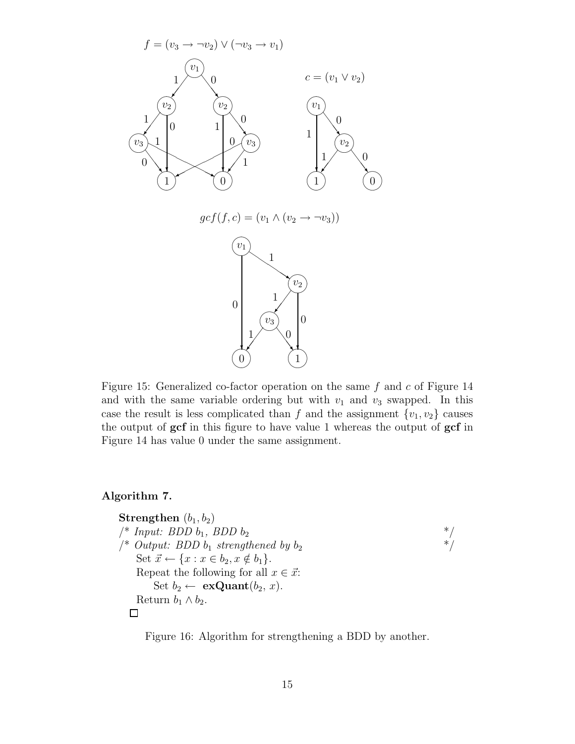

Figure 15: Generalized co-factor operation on the same  $f$  and  $c$  of Figure 14 and with the same variable ordering but with  $v_1$  and  $v_3$  swapped. In this case the result is less complicated than f and the assignment  $\{v_1, v_2\}$  causes the output of gcf in this figure to have value 1 whereas the output of gcf in Figure 14 has value 0 under the same assignment.

### Algorithm 7.

```
Strengthen (b_1, b_2)/* Input: BDD b_1, BDD b_2 */<br>/* Output: BDD b_1 strengthened by b_2 */
\frac{1}{2} Output: BDD b_1 strengthened by b_2Set \vec{x} \leftarrow \{x : x \in b_2, x \notin b_1\}.Repeat the following for all x \in \vec{x}:
         Set b_2 \leftarrow \textbf{exQuant}(b_2, x).
     Return b_1 \wedge b_2.
   \Box
```
Figure 16: Algorithm for strengthening a BDD by another.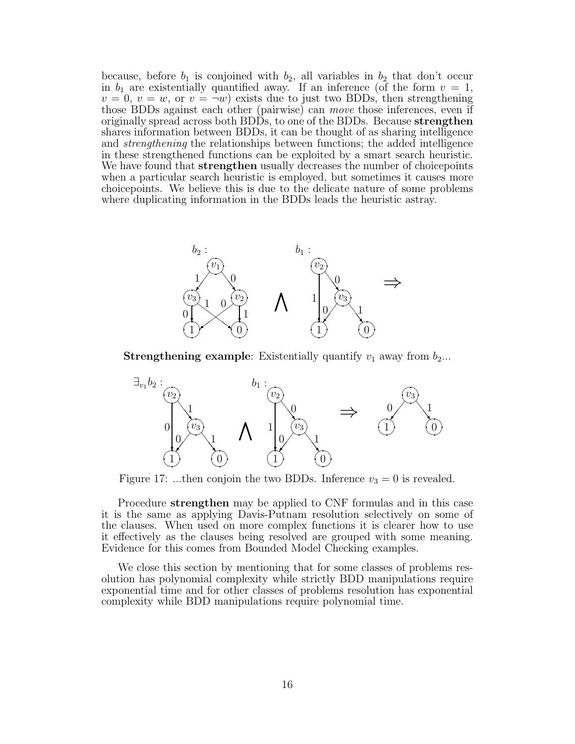because, before  $b_1$  is conjoined with  $b_2$ , all variables in  $b_2$  that don't occur in  $b_1$  are existentially quantified away. If an inference (of the form  $v = 1$ ,  $v = 0, v = w$ , or  $v = \neg w$ ) exists due to just two BDDs, then strengthening those BDDs against each other (pairwise) can *move* those inferences, even if originally spread across both BDDs, to one of the BDDs. Because strengthen shares information between BDDs, it can be thought of as sharing intelligence and *strengthening* the relationships between functions; the added intelligence in these strengthened functions can be exploited by a smart search heuristic. We have found that **strengthen** usually decreases the number of choicepoints when a particular search heuristic is employed, but sometimes it causes more choicepoints. We believe this is due to the delicate nature of some problems where duplicating information in the BDDs leads the heuristic astray.



**Strengthening example:** Existentially quantify  $v_1$  away from  $b_2$ ...



Figure 17: ...then conjoin the two BDDs. Inference  $v_3 = 0$  is revealed.

Procedure strengthen may be applied to CNF formulas and in this case it is the same as applying Davis-Putnam resolution selectively on some of the clauses. When used on more complex functions it is clearer how to use it effectively as the clauses being resolved are grouped with some meaning. Evidence for this comes from Bounded Model Checking examples.

We close this section by mentioning that for some classes of problems resolution has polynomial complexity while strictly BDD manipulations require exponential time and for other classes of problems resolution has exponential complexity while BDD manipulations require polynomial time.